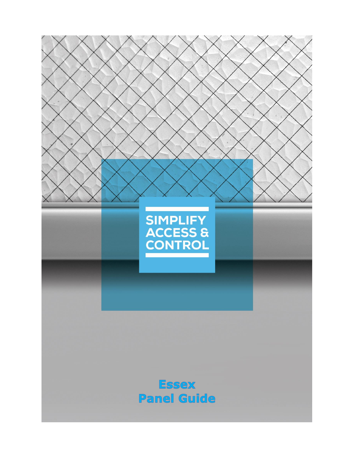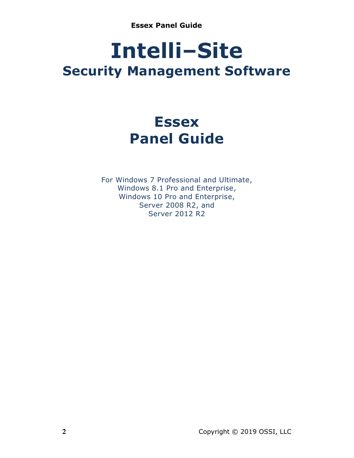# **Intelli‒Site Security Management Software**

# **Essex Panel Guide**

For Windows 7 Professional and Ultimate, Windows 8.1 Pro and Enterprise, Windows 10 Pro and Enterprise, Server 2008 R2, and Server 2012 R2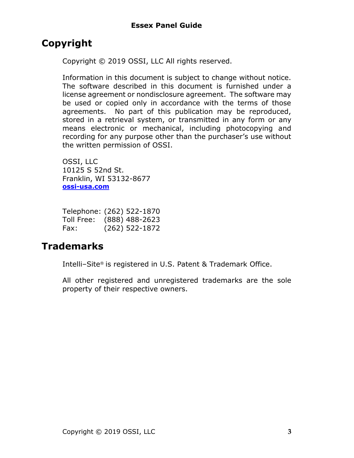## <span id="page-2-0"></span>**Copyright**

Copyright © 2019 OSSI, LLC All rights reserved.

Information in this document is subject to change without notice. The software described in this document is furnished under a license agreement or nondisclosure agreement. The software may be used or copied only in accordance with the terms of those agreements. No part of this publication may be reproduced, stored in a retrieval system, or transmitted in any form or any means electronic or mechanical, including photocopying and recording for any purpose other than the purchaser's use without the written permission of OSSI.

OSSI, LLC 10125 S 52nd St. Franklin, WI 53132-8677 **[ossi-usa.com](http://ossi-usa.com/)**

| Telephone: (262) 522-1870 |                  |
|---------------------------|------------------|
| Toll Free:                | $(888)$ 488-2623 |
| Fax:                      | $(262)$ 522-1872 |

### <span id="page-2-1"></span>**Trademarks**

Intelli-Site® is registered in U.S. Patent & Trademark Office.

All other registered and unregistered trademarks are the sole property of their respective owners.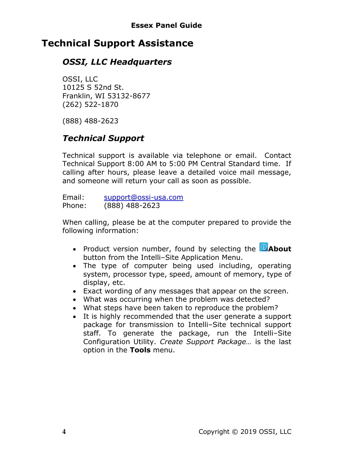### <span id="page-3-0"></span>**Technical Support Assistance**

### *OSSI, LLC Headquarters*

OSSI, LLC 10125 S 52nd St. Franklin, WI 53132-8677 (262) 522-1870

(888) 488-2623

### *Technical Support*

Technical support is available via telephone or email. Contact Technical Support 8:00 AM to 5:00 PM Central Standard time. If calling after hours, please leave a detailed voice mail message, and someone will return your call as soon as possible.

Email: [support@ossi-usa.com](mailto:support@ossi-usa.com) Phone: (888) 488-2623

When calling, please be at the computer prepared to provide the following information:

- Product version number, found by selecting the **CAbout** button from the Intelli-Site Application Menu.
- The type of computer being used including, operating system, processor type, speed, amount of memory, type of display, etc.
- Exact wording of any messages that appear on the screen.
- What was occurring when the problem was detected?
- What steps have been taken to reproduce the problem?
- It is highly recommended that the user generate a support package for transmission to Intelli-Site technical support staff. To generate the package, run the Intelli-Site Configuration Utility. *Create Support Package…* is the last option in the **Tools** menu.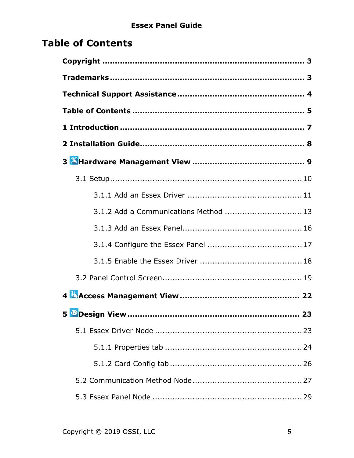# <span id="page-4-0"></span>**Table of Contents**

| 3.1.2 Add a Communications Method  13 |
|---------------------------------------|
|                                       |
|                                       |
|                                       |
|                                       |
|                                       |
|                                       |
|                                       |
|                                       |
|                                       |
|                                       |
|                                       |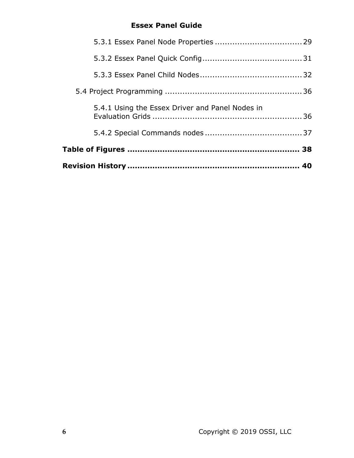| 5.4.1 Using the Essex Driver and Panel Nodes in |  |
|-------------------------------------------------|--|
|                                                 |  |
|                                                 |  |
|                                                 |  |
|                                                 |  |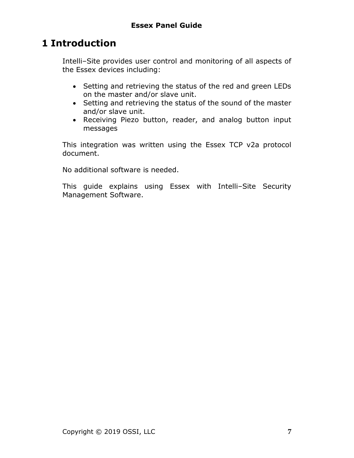# <span id="page-6-0"></span>**1 Introduction**

Intelli-Site provides user control and monitoring of all aspects of the Essex devices including:

- Setting and retrieving the status of the red and green LEDs on the master and/or slave unit.
- Setting and retrieving the status of the sound of the master and/or slave unit.
- Receiving Piezo button, reader, and analog button input messages

This integration was written using the Essex TCP v2a protocol document.

No additional software is needed.

This guide explains using Essex with Intelli-Site Security Management Software.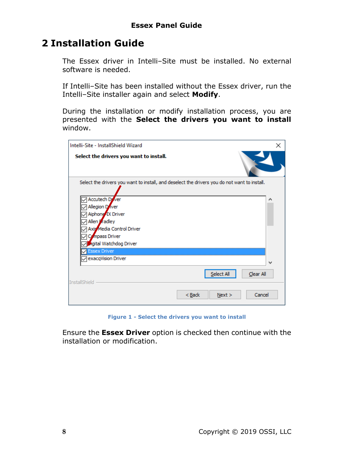### <span id="page-7-0"></span>**2 Installation Guide**

The Essex driver in Intelli-Site must be installed. No external software is needed.

If Intelli-Site has been installed without the Essex driver, run the Intelli-Site installer again and select Modify.

During the installation or modify installation process, you are presented with the **Select the drivers you want to install** window.

| Intelli-Site - InstallShield Wizard                                                                                                                                     | × |
|-------------------------------------------------------------------------------------------------------------------------------------------------------------------------|---|
| Select the drivers you want to install.                                                                                                                                 |   |
| Select the drivers you want to install, and deselect the drivers you do not want to install.                                                                            |   |
| <b>Accutech D</b> ver<br>Allegion D'iver<br>Aiphone IX Driver<br>Allen Kradley<br>Axis Media Control Driver<br>Compass Driver<br>agital Watchdog Driver<br>Essex Driver |   |
| exacqVision Driver                                                                                                                                                      | w |
| Select All<br>Clear All<br><b>InstallShield</b>                                                                                                                         |   |
| Cancel<br>$Back$<br>Next >                                                                                                                                              |   |

<span id="page-7-1"></span>**Figure 1 - Select the drivers you want to install**

Ensure the **Essex Driver** option is checked then continue with the installation or modification.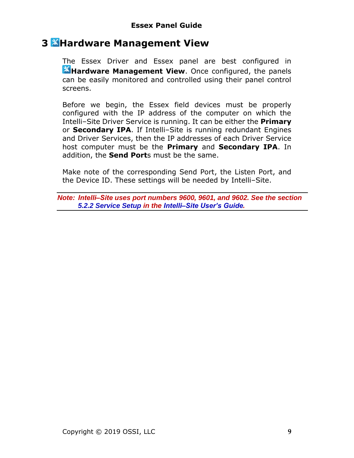### <span id="page-8-0"></span>**3 Hardware Management View**

The Essex Driver and Essex panel are best configured in **K**Hardware Management View. Once configured, the panels can be easily monitored and controlled using their panel control screens.

Before we begin, the Essex field devices must be properly configured with the IP address of the computer on which the Intelli‒Site Driver Service is running. It can be either the **Primary** or **Secondary IPA**. If Intelli-Site is running redundant Engines and Driver Services, then the IP addresses of each Driver Service host computer must be the **Primary** and **Secondary IPA**. In addition, the **Send Port**s must be the same.

Make note of the corresponding Send Port, the Listen Port, and the Device ID. These settings will be needed by Intelli-Site.

*Note: Intelli‒Site uses port numbers 9600, 9601, and 9602. See the section 5.2.2 Service Setup in the Intelli‒Site User's Guide.*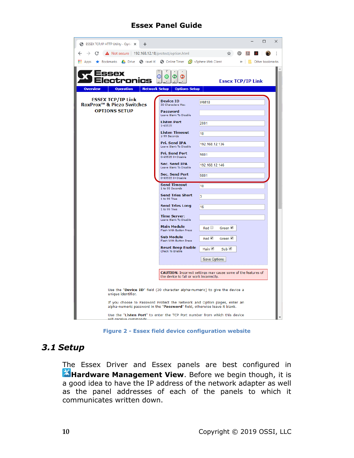| <b>S</b> ESSEX TCP/IP HTTP Utility - Optic X<br>$\pm$                                                    |                                                        | $\Box$<br>$\times$                                                          |
|----------------------------------------------------------------------------------------------------------|--------------------------------------------------------|-----------------------------------------------------------------------------|
| C<br>$\Delta$ Not secure   192.168.12.18/protect/option.html<br>$\leftarrow$<br>$\rightarrow$            |                                                        | ŧ<br>☆<br>൫                                                                 |
| Apps * Bookmarks & Drive < Travel it! < O Online Timer <a> C vSphere Web Client</a> C vSphere Web Client |                                                        | $\gg$<br>  Other bookmarks                                                  |
| 35ex<br>ctronics<br><b>Overview</b><br><b>Operation</b>                                                  | O<br>ω<br><b>Network Setup</b><br><b>Options Setup</b> | <b>Essex TCP/IP Link</b>                                                    |
| <b>ESSEX TCP/IP Link</b>                                                                                 | <b>Device ID</b>                                       |                                                                             |
| <b>RoxProx<sup>™</sup> &amp; Piezo Switches</b>                                                          | 30 Characters Max                                      | IAM <sub>18</sub>                                                           |
| <b>OPTIONS SETUP</b>                                                                                     | Password<br>Leave Blank To Disable                     |                                                                             |
|                                                                                                          | <b>Listen Port</b><br>1-65535                          | 2001                                                                        |
|                                                                                                          | <b>Listen Timeout</b><br>1-99 Seconds                  | 10                                                                          |
|                                                                                                          | Pri. Send IPA<br>Leave Blank To Disable                | 192.168.12.136                                                              |
|                                                                                                          | <b>Pri. Send Port</b><br>0-65535 0=Disable             | 9801                                                                        |
|                                                                                                          | Sec. Send IPA<br>Leave Blank To Disable                | 192.168.12.146                                                              |
|                                                                                                          | <b>Sec. Send Port</b><br>0-65535 0=Disable             | 9801                                                                        |
|                                                                                                          | <b>Send Timeout</b><br>1 to 99 Seconds                 | 10                                                                          |
|                                                                                                          | <b>Send Tries Short</b><br>1 to 99 Tries               | 3                                                                           |
|                                                                                                          | <b>Send Tries Long</b><br>1 to 99 Tries                | 16                                                                          |
|                                                                                                          | <b>Time Server:</b><br>Leave Blank To Disable          |                                                                             |
|                                                                                                          | <b>Main Module</b><br>Flash With Button Press          | Red<br>Green <sup>V</sup>                                                   |
|                                                                                                          | <b>Sub Module</b><br>Flash With Button Press           | Red<br>Green                                                                |
|                                                                                                          | <b>Reset Beep Enable</b><br>Check To Enable            | Main <u>√</u><br>Sub                                                        |
|                                                                                                          |                                                        | <b>Save Options</b>                                                         |
|                                                                                                          | the device to fail or work incorrectly.                | <b>CAUTION:</b> Incorrect settings may cause some of the features of        |
| unique identifier.                                                                                       |                                                        | Use the "Device ID" field (30 character alpha-numeric) to give the device a |
| alpha-numeric password in the "Password" field, otherwise leave it blank.                                |                                                        | If you choose to Password Protect the Network and Option pages, enter an    |
| will receive commande.                                                                                   |                                                        | Use the "Listen Port" to enter the TCP Port number from which this device   |

**Figure 2 - Essex field device configuration website**

#### <span id="page-9-1"></span><span id="page-9-0"></span>*3.1 Setup*

The Essex Driver and Essex panels are best configured in **K**Hardware Management View. Before we begin though, it is a good idea to have the IP address of the network adapter as well as the panel addresses of each of the panels to which it communicates written down.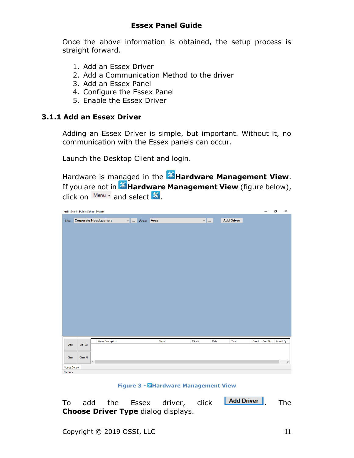Once the above information is obtained, the setup process is straight forward.

- 1. Add an Essex Driver
- 2. Add a Communication Method to the driver
- 3. Add an Essex Panel
- 4. Configure the Essex Panel
- 5. Enable the Essex Driver

#### <span id="page-10-0"></span>**3.1.1 Add an Essex Driver**

Adding an Essex Driver is simple, but important. Without it, no communication with the Essex panels can occur.

Launch the Desktop Client and login.

Hardware is managed in the **AHardware Management View**. If you are not in **X** Hardware Management View (figure below), click on  $\frac{M_{\text{enu}}}{M_{\text{enu}}}$  and select  $\mathbb{X}$ .

|               | Intelli-Site 4 - Public School System |                              |               |        |                    |      |                   |       | -        | $\times$<br>$\Box$ |
|---------------|---------------------------------------|------------------------------|---------------|--------|--------------------|------|-------------------|-------|----------|--------------------|
|               |                                       | Site: Corporate Headquarters | v  Area: Area |        | $\vee$ $\parallel$ |      | <b>Add Driver</b> |       |          |                    |
|               |                                       |                              |               |        |                    |      |                   |       |          |                    |
|               |                                       |                              |               |        |                    |      |                   |       |          |                    |
|               |                                       |                              |               |        |                    |      |                   |       |          |                    |
|               |                                       |                              |               |        |                    |      |                   |       |          |                    |
|               |                                       |                              |               |        |                    |      |                   |       |          |                    |
|               |                                       |                              |               |        |                    |      |                   |       |          |                    |
|               |                                       |                              |               |        |                    |      |                   |       |          |                    |
|               |                                       |                              |               |        |                    |      |                   |       |          |                    |
|               |                                       |                              |               |        |                    |      |                   |       |          |                    |
|               |                                       |                              |               |        |                    |      |                   |       |          |                    |
|               |                                       |                              |               |        |                    |      |                   |       |          |                    |
|               |                                       |                              |               |        |                    |      |                   |       |          |                    |
|               |                                       |                              |               |        |                    |      |                   |       |          |                    |
|               |                                       |                              |               |        |                    |      |                   |       |          |                    |
| Ack           | Ack All                               | <b>Alam Description</b>      |               | Status | Priority           | Date | Time              | Count | Card No. | Acked By           |
|               |                                       |                              |               |        |                    |      |                   |       |          |                    |
| Clear         | Clear All                             | $\langle$                    |               |        |                    |      |                   |       |          | $\,$               |
| Queue Control |                                       |                              |               |        |                    |      |                   |       |          |                    |
| Menu -        |                                       |                              |               |        |                    |      |                   |       |          |                    |

**Figure 3 - Hardware Management View**

<span id="page-10-1"></span>To add the Essex driver, click **Add Driver**, The **Choose Driver Type** dialog displays.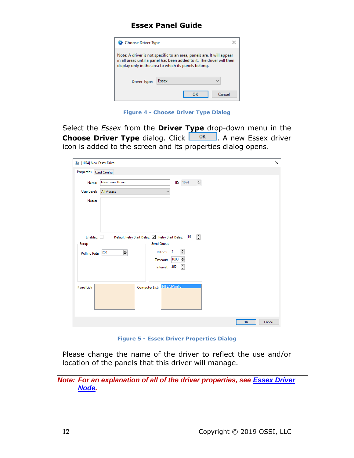| Choose Driver Type                                                                                                                                                                                     |       |  |        |  |
|--------------------------------------------------------------------------------------------------------------------------------------------------------------------------------------------------------|-------|--|--------|--|
| Note: A driver is not specific to an area, panels are. It will appear<br>in all areas until a panel has been added to it. The driver will then<br>display only in the area to which its panels belong. |       |  |        |  |
| Driver Type:                                                                                                                                                                                           | Essex |  |        |  |
|                                                                                                                                                                                                        |       |  | Cancel |  |

**Figure 4 - Choose Driver Type Dialog**

<span id="page-11-0"></span>Select the *Essex* from the **Driver Type** drop-down menu in the **Choose Driver Type** dialog. Click **. A new Essex driver** icon is added to the screen and its properties dialog opens.

| $T_{\rm m}$ [1074] New Essex Driver |                                                                                                                                    | × |
|-------------------------------------|------------------------------------------------------------------------------------------------------------------------------------|---|
| Properties Card Config              |                                                                                                                                    |   |
| Name:                               | <b>New Essex Driver</b><br>$\frac{a}{\pi}$<br>ID: 1074                                                                             |   |
| User Level:                         | <b>All Access</b><br>$\checkmark$                                                                                                  |   |
| Notes:                              |                                                                                                                                    |   |
| Enabled:<br>Setup                   | $\overline{\div}$<br>Default Retry Start Delay: ⊠ Retry Start Delay: 15<br><b>Send Queue</b>                                       |   |
| Polling Rate: 250                   | $\div$<br>$\vert$ 3<br>$\overline{\div}$<br><b>Retries:</b><br>$\overline{\div}$<br>1000<br>Timeout:<br>$\div$<br>250<br>Interval: |   |
| <b>Panel List:</b>                  | [4] LATWin10<br>Computer List:                                                                                                     |   |
|                                     | OK<br>Cancel                                                                                                                       |   |

**Figure 5 - Essex Driver Properties Dialog**

<span id="page-11-1"></span>Please change the name of the driver to reflect the use and/or location of the panels that this driver will manage.

*Note: For an explanation of all of the driver properties, see Essex [Driver](#page-22-2)  [Node.](#page-22-2)*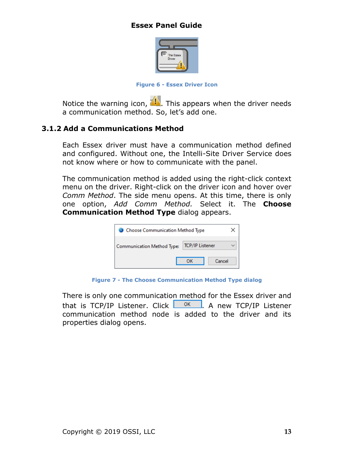

**Figure 6 - Essex Driver Icon**

<span id="page-12-1"></span>Notice the warning icon,  $\Box$ . This appears when the driver needs a communication method. So, let's add one.

#### <span id="page-12-0"></span>**3.1.2 Add a Communications Method**

Each Essex driver must have a communication method defined and configured. Without one, the Intelli-Site Driver Service does not know where or how to communicate with the panel.

The communication method is added using the right-click context menu on the driver. Right-click on the driver icon and hover over *Comm Method*. The side menu opens. At this time, there is only one option, *Add Comm Method.* Select it. The **Choose Communication Method Type** dialog appears.



**Figure 7 - The Choose Communication Method Type dialog**

<span id="page-12-2"></span>There is only one communication method for the Essex driver and that is TCP/IP Listener. Click  $\Box$ <sup>ok</sup>  $\Box$  A new TCP/IP Listener communication method node is added to the driver and its properties dialog opens.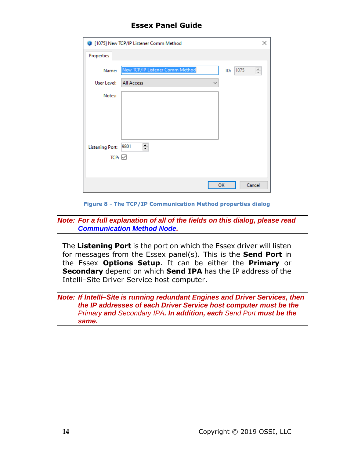|                        | 1075] New TCP/IP Listener Comm Method          | ×      |
|------------------------|------------------------------------------------|--------|
| Properties             |                                                |        |
| Name:                  | New TCP/IP Listener Comm Method<br>1075<br>ID: | $\div$ |
| User Level:            | <b>All Access</b><br>$\checkmark$              |        |
| Notes:                 |                                                |        |
|                        |                                                |        |
|                        |                                                |        |
|                        |                                                |        |
| <b>Listening Port:</b> | $\div$<br>9801                                 |        |
| TCP: $\overline{\vee}$ |                                                |        |
|                        |                                                |        |
|                        | OK<br>Cancel                                   |        |

**Figure 8 - The TCP/IP Communication Method properties dialog**

<span id="page-13-0"></span>*Note: For a full explanation of all of the fields on this dialog, please read [Communication Method Node.](#page-26-0)*

The **Listening Port** is the port on which the Essex driver will listen for messages from the Essex panel(s). This is the **Send Port** in the Essex **Options Setup**. It can be either the **Primary** or **Secondary** depend on which **Send IPA** has the IP address of the Intelli-Site Driver Service host computer.

#### *Note: If Intelli‒Site is running redundant Engines and Driver Services, then the IP addresses of each Driver Service host computer must be the Primary and Secondary IPA. In addition, each Send Port must be the same.*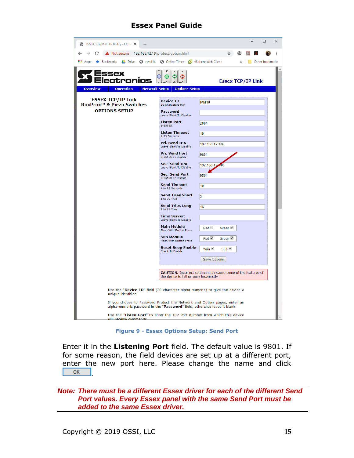| <b>S</b> ESSEX TCP/IP HTTP Utility - Optic X<br>$\pm$                                                                                                 |                                                | $\Box$<br>$\times$                                                   |
|-------------------------------------------------------------------------------------------------------------------------------------------------------|------------------------------------------------|----------------------------------------------------------------------|
| $\triangle$ Not secure   192.168.12.18/protect/option.html<br>$\rightarrow$<br>C<br>$\leftarrow$                                                      |                                                | ŧ<br>☆<br>Ω                                                          |
| <b>EE:</b> Apps ★ Bookmarks ▲ Drive ● ravel it! ● Online Timer ■ vSphere Web Client                                                                   |                                                | <b>N</b> Other bookmarks<br>$\rightarrow$                            |
| :tronıc:<br><b>Operation</b><br><b>Network Setup</b><br><b>Overview</b>                                                                               | O<br>α<br><b>Options Setup</b>                 | <b>Essex TCP/IP Link</b>                                             |
|                                                                                                                                                       |                                                |                                                                      |
| <b>ESSEX TCP/IP Link</b><br>RoxProx <sup>™</sup> & Piezo Switches                                                                                     | <b>Device ID</b><br>30 Characters Max          | IAM18                                                                |
| <b>OPTIONS SETUP</b>                                                                                                                                  | <b>Password</b><br>Leave Blank To Disable      |                                                                      |
|                                                                                                                                                       | <b>Listen Port</b><br>1-65535                  | 2001                                                                 |
|                                                                                                                                                       | <b>Listen Timeout</b><br>1-99 Seconds          | 10                                                                   |
|                                                                                                                                                       | Pri. Send IPA<br>Leave Blank To Disable        | 192.168.12.136                                                       |
|                                                                                                                                                       | <b>Pri. Send Port</b><br>0-65535 0=Disable     | 9801                                                                 |
|                                                                                                                                                       | <b>Sec. Send IPA</b><br>Leave Blank To Disable | 192.168.12                                                           |
|                                                                                                                                                       | <b>Sec. Send Port</b><br>0-65535 0=Disable     | 9801                                                                 |
|                                                                                                                                                       | <b>Send Timeout</b><br>1 to 99 Seconds         | 10                                                                   |
|                                                                                                                                                       | <b>Send Tries Short</b><br>1 to 99 Tries       | 3                                                                    |
|                                                                                                                                                       | <b>Send Tries Long</b><br>1 to 99 Tries        | 16                                                                   |
|                                                                                                                                                       | <b>Time Server:</b><br>Leave Blank To Disable  |                                                                      |
|                                                                                                                                                       | <b>Main Module</b><br>Flash With Button Press  | Red<br>Green <sup>1</sup>                                            |
|                                                                                                                                                       | <b>Sub Module</b><br>Flash With Button Press   | Red<br>Green <sup>V</sup>                                            |
|                                                                                                                                                       | <b>Reset Beep Enable</b><br>Check To Enable    | Main <u>√</u><br>Sub                                                 |
|                                                                                                                                                       |                                                | <b>Save Options</b>                                                  |
|                                                                                                                                                       | the device to fail or work incorrectly.        | <b>CAUTION:</b> Incorrect settings may cause some of the features of |
| Use the "Device ID" field (30 character alpha-numeric) to give the device a<br>unique identifier.                                                     |                                                |                                                                      |
| If you choose to Password Protect the Network and Option pages, enter an<br>alpha-numeric password in the "Password" field, otherwise leave it blank. |                                                |                                                                      |
| Use the "Listen Port" to enter the TCP Port number from which this device<br>will receive commande.                                                   |                                                |                                                                      |

**Figure 9 - Essex Options Setup: Send Port**

<span id="page-14-0"></span>Enter it in the **Listening Port** field. The default value is 9801. If for some reason, the field devices are set up at a different port, enter the new port here. Please change the name and click  $OK$ 

*Note: There must be a different Essex driver for each of the different Send Port values. Every Essex panel with the same Send Port must be added to the same Essex driver.*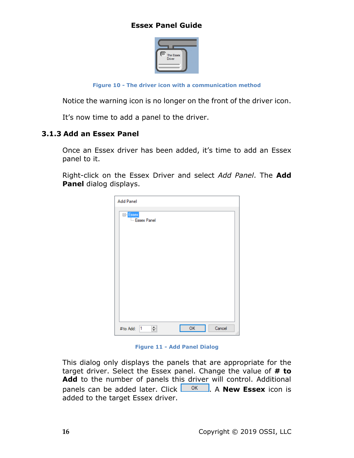

**Figure 10 - The driver icon with a communication method**

<span id="page-15-1"></span>Notice the warning icon is no longer on the front of the driver icon.

It's now time to add a panel to the driver.

#### <span id="page-15-0"></span>**3.1.3 Add an Essex Panel**

Once an Essex driver has been added, it's time to add an Essex panel to it.

Right-click on the Essex Driver and select *Add Panel*. The **Add Panel** dialog displays.

| <b>Add Panel</b>              |    |            |
|-------------------------------|----|------------|
| E-Essex<br><b>Essex Panel</b> |    |            |
| $\div$<br>1<br># to Add:      | OK | Cancel<br> |

**Figure 11 - Add Panel Dialog**

<span id="page-15-2"></span>This dialog only displays the panels that are appropriate for the target driver. Select the Essex panel. Change the value of **# to Add** to the number of panels this driver will control. Additional panels can be added later. Click **. OK ...** A **New Essex** icon is added to the target Essex driver.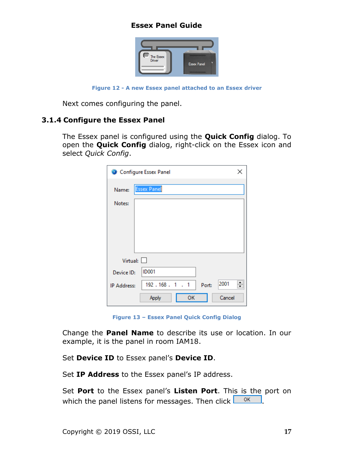

**Figure 12 - A new Essex panel attached to an Essex driver**

<span id="page-16-1"></span>Next comes configuring the panel.

#### <span id="page-16-0"></span>**3.1.4 Configure the Essex Panel**

The Essex panel is configured using the **Quick Config** dialog. To open the **Quick Config** dialog, right-click on the Essex icon and select *Quick Config*.

|                    | Configure Essex Panel        | × |
|--------------------|------------------------------|---|
| Name:              | <b>Essex Panel</b>           |   |
| Notes:             |                              |   |
|                    |                              |   |
|                    |                              |   |
|                    |                              |   |
| Virtual: $\Box$    |                              |   |
| Device ID:         | <b>ID001</b>                 |   |
| <b>IP Address:</b> | 2001<br>192.168.1.1<br>Port: | ÷ |
|                    | Cancel<br>ΟК<br>Apply        |   |

**Figure 13 – Essex Panel Quick Config Dialog**

<span id="page-16-2"></span>Change the **Panel Name** to describe its use or location. In our example, it is the panel in room IAM18.

Set **Device ID** to Essex panel's **Device ID**.

Set **IP Address** to the Essex panel's IP address.

Set **Port** to the Essex panel's **Listen Port**. This is the port on which the panel listens for messages. Then click  $\frac{1}{\sqrt{2\pi}}$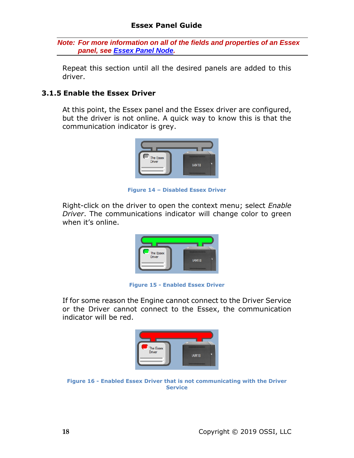*Note: For more information on all of the fields and properties of an Essex panel, see Essex [Panel Node.](#page-28-2)*

Repeat this section until all the desired panels are added to this driver.

#### <span id="page-17-0"></span>**3.1.5 Enable the Essex Driver**

At this point, the Essex panel and the Essex driver are configured, but the driver is not online. A quick way to know this is that the communication indicator is grey.



**Figure 14 – Disabled Essex Driver**

<span id="page-17-1"></span>Right-click on the driver to open the context menu; select *Enable Driver*. The communications indicator will change color to green when it's online.



**Figure 15 - Enabled Essex Driver**

<span id="page-17-2"></span>If for some reason the Engine cannot connect to the Driver Service or the Driver cannot connect to the Essex, the communication indicator will be red.



<span id="page-17-3"></span>**Figure 16 - Enabled Essex Driver that is not communicating with the Driver Service**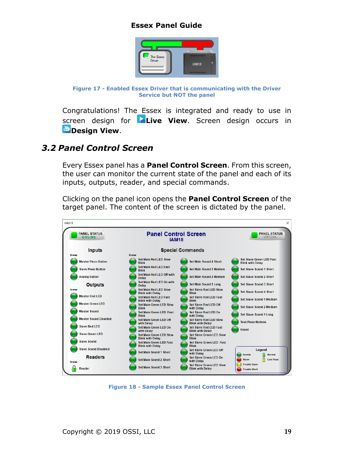

**Figure 17 - Enabled Essex Driver that is communicating with the Driver Service but NOT the panel**

<span id="page-18-1"></span>Congratulations! The Essex is integrated and ready to use in screen design for **Live View**. Screen design occurs in *Design View.* 

#### <span id="page-18-0"></span>*3.2 Panel Control Screen*

Every Essex panel has a **Panel Control Screen**. From this screen, the user can monitor the current state of the panel and each of its inputs, outputs, reader, and special commands.

Clicking on the panel icon opens the **Panel Control Screen** of the target panel. The content of the screen is dictated by the panel.



<span id="page-18-2"></span>**Figure 18 - Sample Essex Panel Control Screen**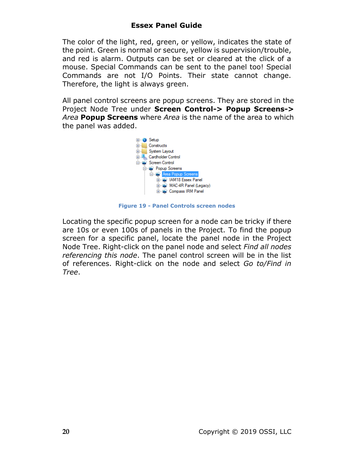The color of the light, red, green, or yellow, indicates the state of the point. Green is normal or secure, yellow is supervision/trouble, and red is alarm. Outputs can be set or cleared at the click of a mouse. Special Commands can be sent to the panel too! Special Commands are not I/O Points. Their state cannot change. Therefore, the light is always green.

All panel control screens are popup screens. They are stored in the Project Node Tree under **Screen Control-> Popup Screens->**  *Area* **Popup Screens** where *Area* is the name of the area to which the panel was added.



**Figure 19 - Panel Controls screen nodes**

<span id="page-19-0"></span>Locating the specific popup screen for a node can be tricky if there are 10s or even 100s of panels in the Project. To find the popup screen for a specific panel, locate the panel node in the Project Node Tree. Right-click on the panel node and select *Find all nodes referencing this node*. The panel control screen will be in the list of references. Right-click on the node and select *Go to/Find in Tree*.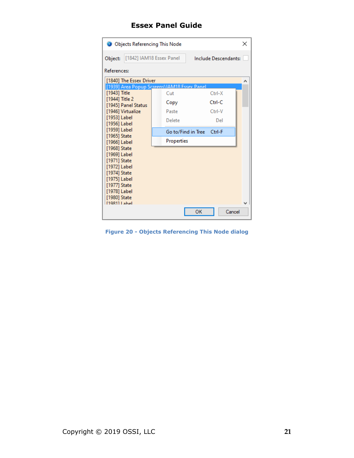| Objects Referencing This Node               |                                                  |                           |  |  |
|---------------------------------------------|--------------------------------------------------|---------------------------|--|--|
| Object:                                     | [1842] IAM18 Essex Panel<br>Include Descendants: |                           |  |  |
| References:                                 |                                                  |                           |  |  |
| [1840] The Essex Driver                     |                                                  |                           |  |  |
| [1939] Area Popup Screens\IAM18 Essex Panel |                                                  |                           |  |  |
| [1943] Title                                | Cut                                              | Ctrl-X                    |  |  |
| [1944] Title 2                              | Copy                                             | Ctrl-C                    |  |  |
| [1945] Panel Status                         |                                                  |                           |  |  |
| [1946] Virtualize                           | Paste                                            | Ctrl-V                    |  |  |
| [1953] Label<br>[1956] Label                | Delete                                           | Del                       |  |  |
| [1959] Label                                |                                                  |                           |  |  |
| [1965] State                                |                                                  | Go to/Find in Tree Ctrl-F |  |  |
| [1966] Label                                | Properties                                       |                           |  |  |
| [1968] State                                |                                                  |                           |  |  |
| [1969] Label                                |                                                  |                           |  |  |
| [1971] State                                |                                                  |                           |  |  |
| [1972] Label                                |                                                  |                           |  |  |
| [1974] State                                |                                                  |                           |  |  |
| [1975] Label                                |                                                  |                           |  |  |
| [1977] State                                |                                                  |                           |  |  |
| [1978] Label                                |                                                  |                           |  |  |
| [1980] State<br>[1981] Label                |                                                  |                           |  |  |
|                                             |                                                  | OK<br>Cancel              |  |  |
|                                             |                                                  |                           |  |  |

<span id="page-20-0"></span>**Figure 20 - Objects Referencing This Node dialog**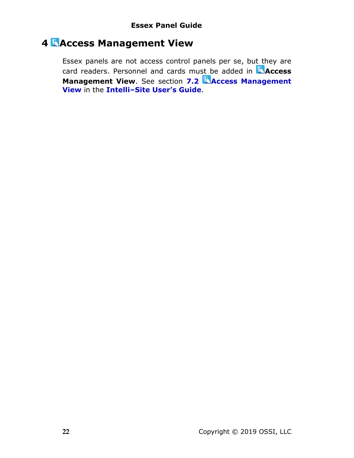# <span id="page-21-0"></span>**4 Access Management View**

Essex panels are not access control panels per se, but they are card readers. Personnel and cards must be added in **Access Management View.** See section **7.2 Access Management View** in the **Intelli‒Site User's Guide**.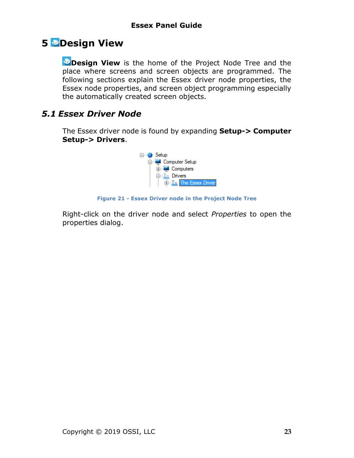## <span id="page-22-0"></span>**5 Design View**

**Design View** is the home of the Project Node Tree and the place where screens and screen objects are programmed. The following sections explain the Essex driver node properties, the Essex node properties, and screen object programming especially the automatically created screen objects.

### <span id="page-22-2"></span><span id="page-22-1"></span>*5.1 Essex Driver Node*

The Essex driver node is found by expanding **Setup-> Computer Setup-> Drivers**.



**Figure 21 - Essex Driver node in the Project Node Tree**

<span id="page-22-3"></span>Right-click on the driver node and select *Properties* to open the properties dialog.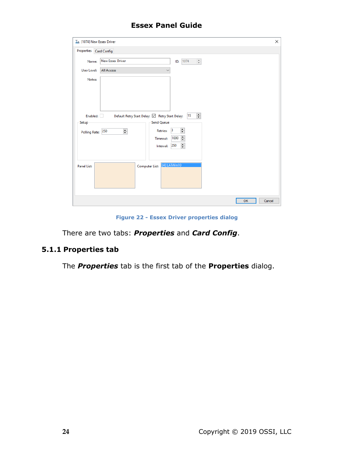| I [1074] New Essex Driver |                                                                                                                                              | × |
|---------------------------|----------------------------------------------------------------------------------------------------------------------------------------------|---|
| Properties Card Config    |                                                                                                                                              |   |
| Name:                     | <b>New Essex Driver</b><br>$\frac{a}{\pi}$<br>ID: 1074                                                                                       |   |
| User Level:               | <b>All Access</b><br>$\checkmark$                                                                                                            |   |
| Notes:                    |                                                                                                                                              |   |
| Enabled:<br>Setup         | $\div$<br>Default Retry Start Delay: ⊠ Retry Start Delay: 15<br><b>Send Queue</b><br>$\overline{\mathbf{H}}$<br>$\vert$ 3<br><b>Retries:</b> |   |
| Polling Rate: 250         | $\div$<br>$\overline{\div}$<br>1000<br>Timeout:<br>$\div$<br>Interval: 250                                                                   |   |
| <b>Panel List:</b>        | [4] LATWin10<br>Computer List:                                                                                                               |   |
|                           | OK<br>Cancel                                                                                                                                 |   |

**Figure 22 - Essex Driver properties dialog**

<span id="page-23-1"></span>There are two tabs: *Properties* and *Card Config*.

#### <span id="page-23-0"></span>**5.1.1 Properties tab**

The *Properties* tab is the first tab of the **Properties** dialog.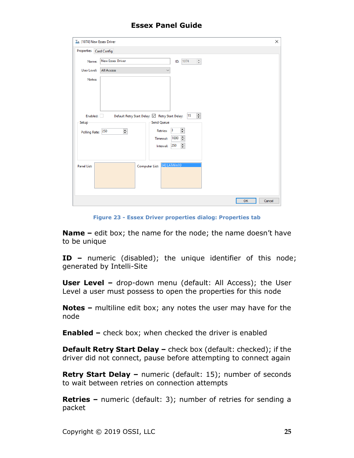| In [1074] New Essex Driver       |                                                                                                                                            | $\times$ |
|----------------------------------|--------------------------------------------------------------------------------------------------------------------------------------------|----------|
| Properties Card Config           |                                                                                                                                            |          |
| Name:                            | <b>New Essex Driver</b><br>$\frac{a}{\pi}$<br>ID: 1074                                                                                     |          |
| User Level:                      | <b>All Access</b><br>$\checkmark$                                                                                                          |          |
| Notes:                           |                                                                                                                                            |          |
| Enabled: <b>Example</b><br>Setup | $\frac{\bullet}{\bullet}$<br>Default Retry Start Delay: ⊠ Retry Start Delay: 15<br>Send Queue                                              |          |
| Polling Rate: 250                | $\div$<br>$\vert$ 3<br>$\overline{\div}$<br><b>Retries:</b><br>$\overline{\div}$<br>1000<br>Timeout:<br>$\overline{\div}$<br>Interval: 250 |          |
| <b>Panel List:</b>               | [4] LATWin10<br>Computer List:                                                                                                             |          |
|                                  | OK<br>Cancel                                                                                                                               |          |

**Figure 23 - Essex Driver properties dialog: Properties tab**

<span id="page-24-0"></span>**Name –** edit box; the name for the node; the name doesn't have to be unique

**ID –** numeric (disabled); the unique identifier of this node; generated by Intelli-Site

**User Level -** drop-down menu (default: All Access); the User Level a user must possess to open the properties for this node

**Notes –** multiline edit box; any notes the user may have for the node

**Enabled –** check box; when checked the driver is enabled

**Default Retry Start Delay –** check box (default: checked); if the driver did not connect, pause before attempting to connect again

**Retry Start Delay –** numeric (default: 15); number of seconds to wait between retries on connection attempts

**Retries –** numeric (default: 3); number of retries for sending a packet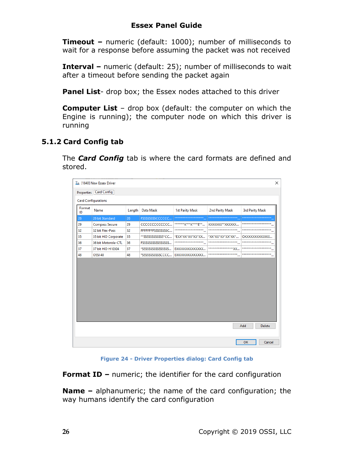**Timeout –** numeric (default: 1000); number of milliseconds to wait for a response before assuming the packet was not received

**Interval –** numeric (default: 25); number of milliseconds to wait after a timeout before sending the packet again

**Panel List-** drop box; the Essex nodes attached to this driver

**Computer List** – drop box (default: the computer on which the Engine is running); the computer node on which this driver is running

#### <span id="page-25-0"></span>**5.1.2 Card Config tab**

The *Card Config* tab is where the card formats are defined and stored.

| ×<br>I [1840] New Essex Driver<br>Properties Card Config |                            |        |                     |                                  |                       |                                   |
|----------------------------------------------------------|----------------------------|--------|---------------------|----------------------------------|-----------------------|-----------------------------------|
|                                                          | <b>Card Configurations</b> |        |                     |                                  |                       |                                   |
| Format<br>ID                                             | Name                       | Length | Data Mask           | <b>1st Parity Mask</b>           | 2nd Parity Mask       | <b>3rd Parity Mask</b>            |
| 26                                                       | 26 bit Standard            | 26     | FSSSSSSSSCCCCCC     | ********************             | ********************* | *********************             |
| 29                                                       | <b>Compass Secure</b>      | 29     | CCCCCCCCCCCCC       | ****************E**              | XXXXXX**XXXXXX        | ********************              |
| 32                                                       | 32 bit Flex-Pass           | 32     | FFFFFFFFSSSSSSSSSC  | ********************<br>٠.,      | ********************* | *********************<br>$\cdots$ |
| 35                                                       | 35 bit HID Corporate       | 35     | **SSSSSSSSSSSSS*CC  | *EXX*XX*XX*XX*XX                 | *XX*XX*XX*XX*XX*      | OXXXXXXXXXXXXX                    |
| 36                                                       | 36 bit Motorola-CTL        | 36     | FSSSSSSSSSSSSSSSSSS | ********************<br>$\cdots$ | ********************  | *********************<br>$\cdots$ |
| 37                                                       | 37 bit HID H10304          | 37     | *SSSSSSSSSSSSSSSSSS | EXXXXXXXXXXXXX                   |                       | *********************<br>$\cdots$ |
| 48                                                       | OSSI 48                    | 48     | *SSSSSSSSSSSCCCC    | EXXXXXXXXXXXXX                   | ********************  | ********************<br>$\cdots$  |
|                                                          |                            |        |                     |                                  |                       |                                   |
|                                                          |                            |        |                     |                                  |                       | Add<br>Delete                     |
|                                                          |                            |        |                     |                                  |                       | OK<br>Cancel                      |

**Figure 24 - Driver Properties dialog: Card Config tab**

<span id="page-25-1"></span>**Format ID –** numeric; the identifier for the card configuration

**Name –** alphanumeric; the name of the card configuration; the way humans identify the card configuration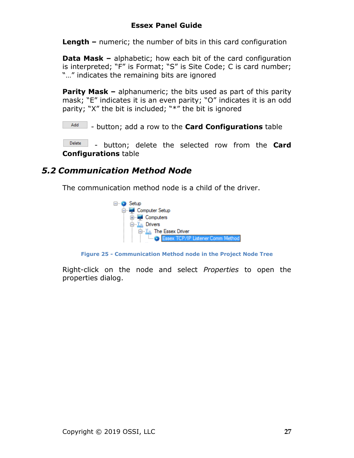**Length –** numeric; the number of bits in this card configuration

**Data Mask –** alphabetic; how each bit of the card configuration is interpreted; "F" is Format; "S" is Site Code; C is card number; "…" indicates the remaining bits are ignored

**Parity Mask –** alphanumeric; the bits used as part of this parity mask; "E" indicates it is an even parity; "O" indicates it is an odd parity; "X" the bit is included; "\*" the bit is ignored

Add - button; add a row to the **Card Configurations** table

Delete - button; delete the selected row from the **Card Configurations** table

### <span id="page-26-0"></span>*5.2 Communication Method Node*

The communication method node is a child of the driver.



**Figure 25 - Communication Method node in the Project Node Tree**

<span id="page-26-1"></span>Right-click on the node and select *Properties* to open the properties dialog.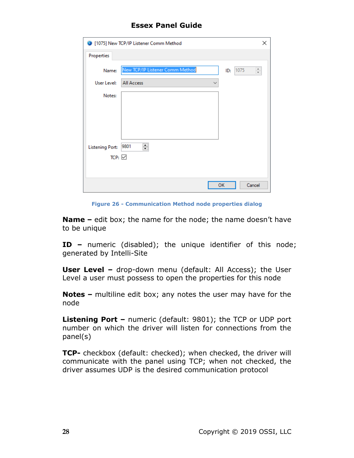|                        | 1075] New TCP/IP Listener Comm Method          | ×      |
|------------------------|------------------------------------------------|--------|
| Properties             |                                                |        |
| Name:                  | New TCP/IP Listener Comm Method<br>1075<br>ID: | $\div$ |
| User Level:            | <b>All Access</b><br>$\checkmark$              |        |
| Notes:                 |                                                |        |
|                        |                                                |        |
|                        |                                                |        |
|                        |                                                |        |
| <b>Listening Port:</b> | $\div$<br>9801                                 |        |
| TCP: $\overline{\vee}$ |                                                |        |
|                        |                                                |        |
|                        | OK<br>Cancel                                   |        |

**Figure 26 - Communication Method node properties dialog**

<span id="page-27-0"></span>**Name –** edit box; the name for the node; the name doesn't have to be unique

**ID –** numeric (disabled); the unique identifier of this node; generated by Intelli-Site

**User Level -** drop-down menu (default: All Access); the User Level a user must possess to open the properties for this node

**Notes –** multiline edit box; any notes the user may have for the node

**Listening Port –** numeric (default: 9801); the TCP or UDP port number on which the driver will listen for connections from the panel(s)

**TCP-** checkbox (default: checked); when checked, the driver will communicate with the panel using TCP; when not checked, the driver assumes UDP is the desired communication protocol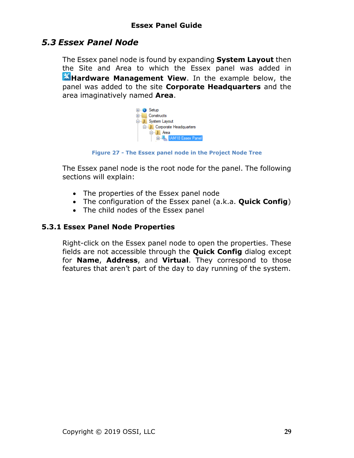### <span id="page-28-2"></span><span id="page-28-0"></span>*5.3 Essex Panel Node*

The Essex panel node is found by expanding **System Layout** then the Site and Area to which the Essex panel was added in **K**Hardware Management View. In the example below, the panel was added to the site **Corporate Headquarters** and the area imaginatively named **Area**.



**Figure 27 - The Essex panel node in the Project Node Tree**

<span id="page-28-3"></span>The Essex panel node is the root node for the panel. The following sections will explain:

- The properties of the Essex panel node
- The configuration of the Essex panel (a.k.a. **Quick Config**)
- The child nodes of the Essex panel

#### **5.3.1 Essex Panel Node Properties**

<span id="page-28-1"></span>Right-click on the Essex panel node to open the properties. These fields are not accessible through the **Quick Config** dialog except for **Name**, **Address**, and **Virtual**. They correspond to those features that aren't part of the day to day running of the system.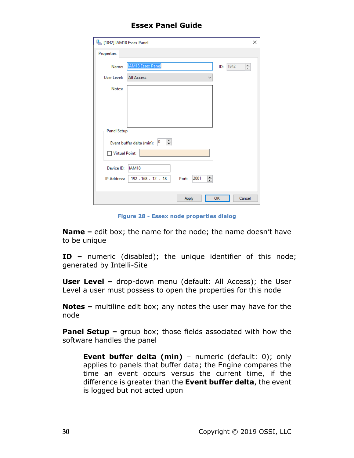| [1842] IAM18 Essex Panel |                                                          | × |
|--------------------------|----------------------------------------------------------|---|
| Properties               |                                                          |   |
| Name:                    | <b>IAM18 Essex Panel</b><br>1842<br>$\frac{4}{7}$<br>ID: |   |
| User Level:              | <b>All Access</b><br>$\checkmark$                        |   |
| Notes:                   |                                                          |   |
|                          |                                                          |   |
|                          |                                                          |   |
|                          |                                                          |   |
| <b>Panel Setup</b>       |                                                          |   |
|                          | ÷<br>$ 0\rangle$<br>Event buffer delta (min):            |   |
| Virtual Point:           |                                                          |   |
| Device ID:               | IAM18                                                    |   |
| IP Address:              | 췌<br>2001<br>192.168.12.18<br>Port:                      |   |
|                          |                                                          |   |
|                          | Cancel<br>OK<br>Apply                                    |   |

**Figure 28 - Essex node properties dialog**

<span id="page-29-0"></span>**Name –** edit box; the name for the node; the name doesn't have to be unique

**ID –** numeric (disabled); the unique identifier of this node; generated by Intelli-Site

**User Level -** drop-down menu (default: All Access); the User Level a user must possess to open the properties for this node

**Notes –** multiline edit box; any notes the user may have for the node

**Panel Setup –** group box; those fields associated with how the software handles the panel

**Event buffer delta (min)** - numeric (default: 0); only applies to panels that buffer data; the Engine compares the time an event occurs versus the current time, if the difference is greater than the **Event buffer delta**, the event is logged but not acted upon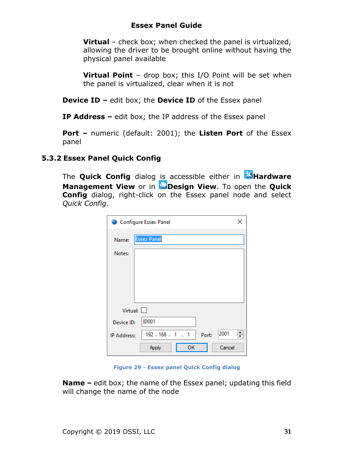**Virtual** – check box; when checked the panel is virtualized, allowing the driver to be brought online without having the physical panel available

**Virtual Point** – drop box; this I/O Point will be set when the panel is virtualized, clear when it is not

**Device ID –** edit box; the **Device ID** of the Essex panel

**IP Address –** edit box; the IP address of the Essex panel

**Port –** numeric (default: 2001); the **Listen Port** of the Essex panel

#### **5.3.2 Essex Panel Quick Config**

<span id="page-30-0"></span>The **Quick Config** dialog is accessible either in **AHardware Management View** or in **Design View**. To open the **Quick Config** dialog, right-click on the Essex panel node and select *Quick Config*.

|                 | Configure Essex Panel        | × |
|-----------------|------------------------------|---|
| Name:           | <b>Essex Panel</b>           |   |
| Notes:          |                              |   |
|                 |                              |   |
|                 |                              |   |
|                 |                              |   |
| Virtual: $\Box$ |                              |   |
| Device ID:      | <b>ID001</b>                 |   |
| IP Address:     | 2001<br>192.168.1.1<br>Port: | ÷ |
|                 | ОΚ<br>Cancel<br>Apply        |   |

**Figure 29 - Essex panel Quick Config dialog**

<span id="page-30-1"></span>**Name –** edit box; the name of the Essex panel; updating this field will change the name of the node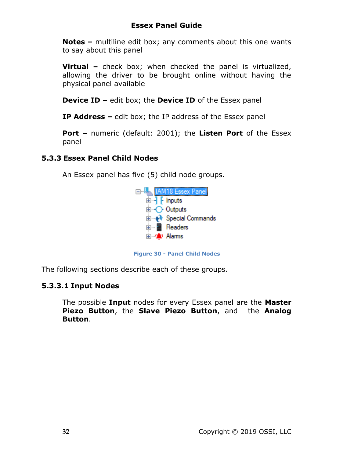**Notes –** multiline edit box; any comments about this one wants to say about this panel

**Virtual –** check box; when checked the panel is virtualized, allowing the driver to be brought online without having the physical panel available

**Device ID –** edit box; the **Device ID** of the Essex panel

**IP Address –** edit box; the IP address of the Essex panel

**Port –** numeric (default: 2001); the **Listen Port** of the Essex panel

#### **5.3.3 Essex Panel Child Nodes**

<span id="page-31-0"></span>An Essex panel has five (5) child node groups.



**Figure 30 - Panel Child Nodes**

<span id="page-31-1"></span>The following sections describe each of these groups.

#### **5.3.3.1 Input Nodes**

The possible **Input** nodes for every Essex panel are the **Master Piezo Button**, the **Slave Piezo Button**, and the **Analog Button**.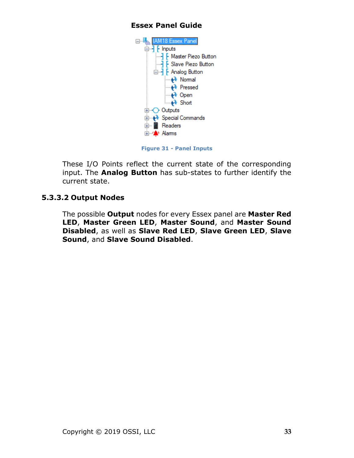

**Figure 31 - Panel Inputs**

<span id="page-32-0"></span>These I/O Points reflect the current state of the corresponding input. The **Analog Button** has sub-states to further identify the current state.

#### **5.3.3.2 Output Nodes**

The possible **Output** nodes for every Essex panel are **Master Red LED**, **Master Green LED**, **Master Sound**, and **Master Sound Disabled**, as well as **Slave Red LED**, **Slave Green LED**, **Slave Sound**, and **Slave Sound Disabled**.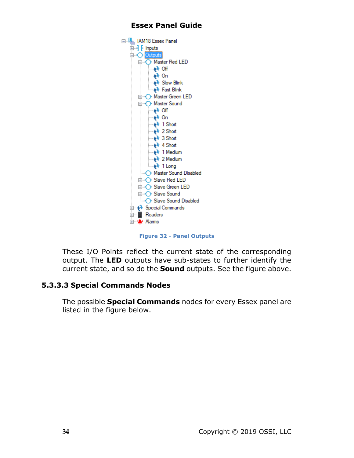

**Figure 32 - Panel Outputs**

<span id="page-33-0"></span>These I/O Points reflect the current state of the corresponding output. The **LED** outputs have sub-states to further identify the current state, and so do the **Sound** outputs. See the figure above.

#### **5.3.3.3 Special Commands Nodes**

The possible **Special Commands** nodes for every Essex panel are listed in the figure below.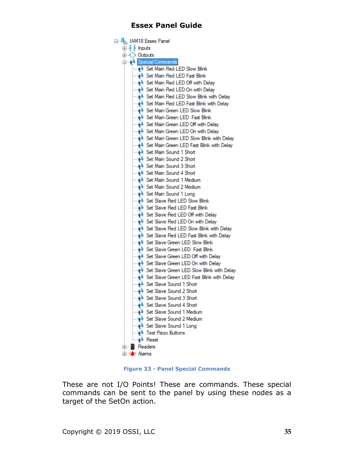| ⊟…kk IAM18 Essex Panel                                                               |
|--------------------------------------------------------------------------------------|
| 由- <b>]</b> [ Inputs                                                                 |
| 国 <b>O</b> Outputs                                                                   |
| Special Commands                                                                     |
| <b>Main Red LED Slow Blink</b>                                                       |
| — ♦ Set Main Red LED Fast Blink                                                      |
| — ♦ Set Main Red LED Off with Delay                                                  |
| — ♦ Set Main Red LED On with Delay                                                   |
| — ♦ Set Main Red LED Slow Blink with Delay                                           |
| i National Red LED Fast Blink with Delay                                             |
| — ♦ Set Main Green LED Slow Blink                                                    |
| — ♦ Set Main Green LED Fast Blink                                                    |
| — Net Main Green LED Off with Delay                                                  |
| <b>Meta</b> Set Main Green LED On with Delay                                         |
| <b>Main Green LED Slow Blink with Delay</b> Set Main Green LED Slow Blink with Delay |
| … No Set Main Green LED Fast Blink with Delay                                        |
| --- + Set Main Sound 1 Short                                                         |
|                                                                                      |
| ---- A Set Main Sound 3 Short                                                        |
| ---- Net Main Sound 4 Short                                                          |
| ---- Net Main Sound 1 Medium                                                         |
|                                                                                      |
| ---- A Set Main Sound 1 Long                                                         |
|                                                                                      |
|                                                                                      |
| … No Set Slave Red LED Off with Delay                                                |
| … A Set Slave Red LED On with Delay                                                  |
| … Not Set Slave Red LED Slow Blink with Delay                                        |
| <b> ♦ Set Slave Red LED Fast Blink with Delay</b>                                    |
| … ♦ Set Slave Green LED Slow Blink                                                   |
| <b>Example 3</b> Set Slave Green LED Fast Blink                                      |
| ……A Set Slave Green LED Off with Delay                                               |
| ……A Set Slave Green LED On with Delay                                                |
| ---- A Set Slave Green LED Slow Blink with Delay                                     |
| … Not Stave Green LED Fast Blink with Delay                                          |
| <b>Executed Set Slave Sound 1 Short</b>                                              |
| i Set Slave Sound 2 Short                                                            |
| - Net Slave Sound 3 Short                                                            |
| <b>No Set Slave Sound 4 Short</b>                                                    |
| — ♦ Set Slave Sound 1 Medium<br>- Nedium Set Slave Sound 2 Medium                    |
| - Net Slave Sound 1 Long                                                             |
| → Test Piezo Buttons                                                                 |
| — A Reset                                                                            |
| <b>E</b> Readers                                                                     |
| <b>⊞ only</b> Alams                                                                  |
|                                                                                      |

**Figure 33 - Panel Special Commands**

<span id="page-34-0"></span>These are not I/O Points! These are commands. These special commands can be sent to the panel by using these nodes as a target of the SetOn action.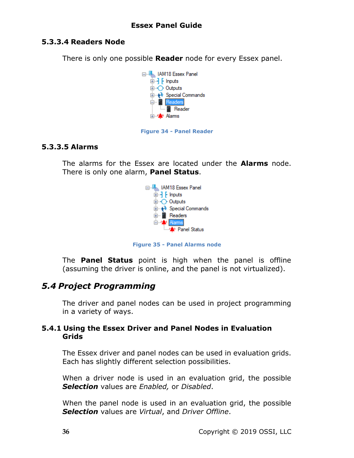#### **5.3.3.4 Readers Node**

There is only one possible **Reader** node for every Essex panel.





#### <span id="page-35-2"></span>**5.3.3.5 Alarms**

The alarms for the Essex are located under the **Alarms** node. There is only one alarm, **Panel Status**.



**Figure 35 - Panel Alarms node**

<span id="page-35-3"></span>The **Panel Status** point is high when the panel is offline (assuming the driver is online, and the panel is not virtualized).

### <span id="page-35-0"></span>*5.4 Project Programming*

The driver and panel nodes can be used in project programming in a variety of ways.

#### <span id="page-35-1"></span>**5.4.1 Using the Essex Driver and Panel Nodes in Evaluation Grids**

The Essex driver and panel nodes can be used in evaluation grids. Each has slightly different selection possibilities.

When a driver node is used in an evaluation grid, the possible *Selection* values are *Enabled,* or *Disabled*.

When the panel node is used in an evaluation grid, the possible *Selection* values are *Virtual*, and *Driver Offline*.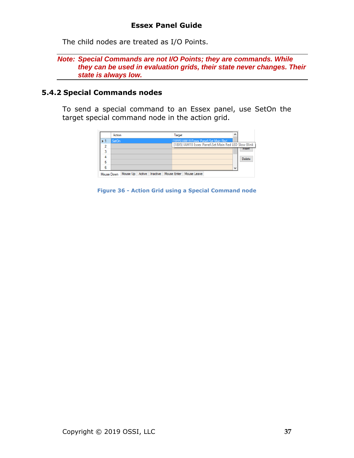The child nodes are treated as I/O Points.

*Note: Special Commands are not I/O Points; they are commands. While they can be used in evaluation grids, their state never changes. Their state is always low.*

#### <span id="page-36-0"></span>**5.4.2 Special Commands nodes**

To send a special command to an Essex panel, use SetOn the target special command node in the action grid.

|            | Action             | Target                                                                                        |              |               |
|------------|--------------------|-----------------------------------------------------------------------------------------------|--------------|---------------|
| 2          | SetOn              | [1895] IAM18 Essex Panel\Set Main Red<br>[1895] IAM18 Essex Panel\Set Main Red LED Slow Blink |              |               |
| 3          |                    |                                                                                               |              | <b>Insert</b> |
|            |                    |                                                                                               |              | Delete        |
| 5<br>6     |                    |                                                                                               | $\checkmark$ |               |
| Mouse Down | Mouse Up<br>Active | Inactive   Mouse Enter   Mouse Leave                                                          |              |               |

<span id="page-36-1"></span>**Figure 36 - Action Grid using a Special Command node**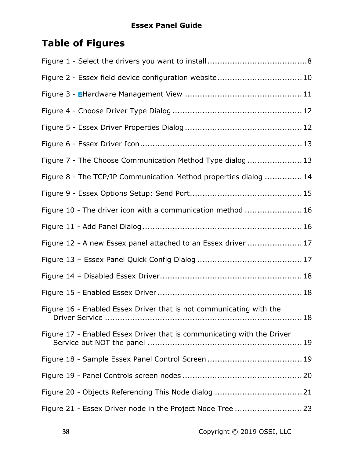# <span id="page-37-0"></span>**Table of Figures**

| Figure 2 - Essex field device configuration website 10                 |
|------------------------------------------------------------------------|
|                                                                        |
|                                                                        |
|                                                                        |
|                                                                        |
| Figure 7 - The Choose Communication Method Type dialog  13             |
| Figure 8 - The TCP/IP Communication Method properties dialog  14       |
|                                                                        |
| Figure 10 - The driver icon with a communication method  16            |
|                                                                        |
| Figure 12 - A new Essex panel attached to an Essex driver  17          |
|                                                                        |
|                                                                        |
|                                                                        |
| Figure 16 - Enabled Essex Driver that is not communicating with the    |
| Figure 17 - Enabled Essex Driver that is communicating with the Driver |
|                                                                        |
|                                                                        |
|                                                                        |
| Figure 21 - Essex Driver node in the Project Node Tree  23             |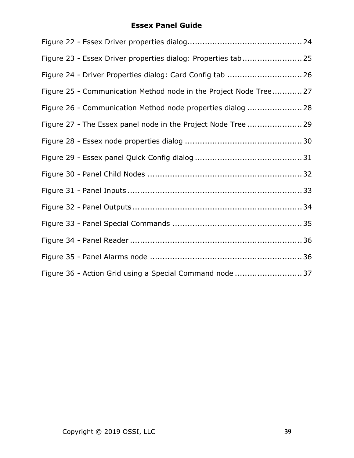| Figure 23 - Essex Driver properties dialog: Properties tab 25     |  |
|-------------------------------------------------------------------|--|
| Figure 24 - Driver Properties dialog: Card Config tab  26         |  |
| Figure 25 - Communication Method node in the Project Node Tree 27 |  |
| Figure 26 - Communication Method node properties dialog  28       |  |
| Figure 27 - The Essex panel node in the Project Node Tree  29     |  |
|                                                                   |  |
|                                                                   |  |
|                                                                   |  |
|                                                                   |  |
|                                                                   |  |
|                                                                   |  |
|                                                                   |  |
|                                                                   |  |
| Figure 36 - Action Grid using a Special Command node  37          |  |